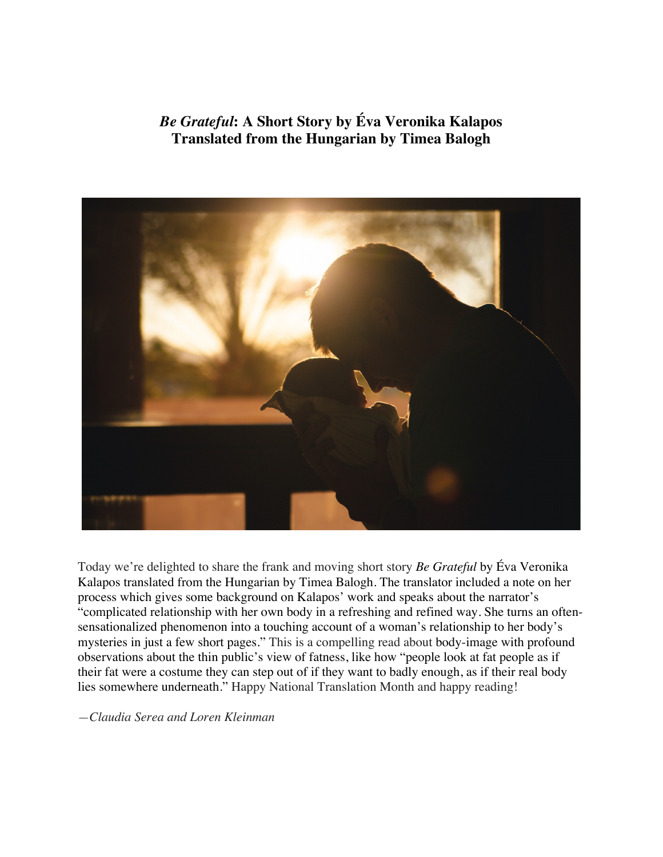# *Be Grateful***: A Short Story by Éva Veronika Kalapos Translated from the Hungarian by Timea Balogh**



Today we're delighted to share the frank and moving short story *Be Grateful* by Éva Veronika Kalapos translated from the Hungarian by Timea Balogh. The translator included a note on her process which gives some background on Kalapos' work and speaks about the narrator's "complicated relationship with her own body in a refreshing and refined way. She turns an oftensensationalized phenomenon into a touching account of a woman's relationship to her body's mysteries in just a few short pages." This is a compelling read about body-image with profound observations about the thin public's view of fatness, like how "people look at fat people as if their fat were a costume they can step out of if they want to badly enough, as if their real body lies somewhere underneath." Happy National Translation Month and happy reading!

*—Claudia Serea and Loren Kleinman*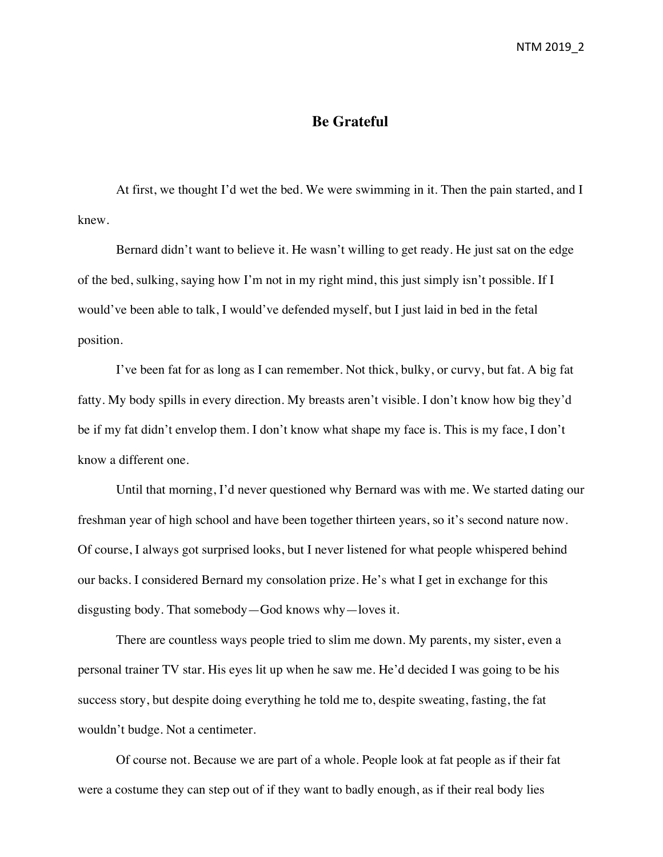## **Be Grateful**

At first, we thought I'd wet the bed. We were swimming in it. Then the pain started, and I knew.

Bernard didn't want to believe it. He wasn't willing to get ready. He just sat on the edge of the bed, sulking, saying how I'm not in my right mind, this just simply isn't possible. If I would've been able to talk, I would've defended myself, but I just laid in bed in the fetal position.

I've been fat for as long as I can remember. Not thick, bulky, or curvy, but fat. A big fat fatty. My body spills in every direction. My breasts aren't visible. I don't know how big they'd be if my fat didn't envelop them. I don't know what shape my face is. This is my face, I don't know a different one.

Until that morning, I'd never questioned why Bernard was with me. We started dating our freshman year of high school and have been together thirteen years, so it's second nature now. Of course, I always got surprised looks, but I never listened for what people whispered behind our backs. I considered Bernard my consolation prize. He's what I get in exchange for this disgusting body. That somebody—God knows why—loves it.

There are countless ways people tried to slim me down. My parents, my sister, even a personal trainer TV star. His eyes lit up when he saw me. He'd decided I was going to be his success story, but despite doing everything he told me to, despite sweating, fasting, the fat wouldn't budge. Not a centimeter.

Of course not. Because we are part of a whole. People look at fat people as if their fat were a costume they can step out of if they want to badly enough, as if their real body lies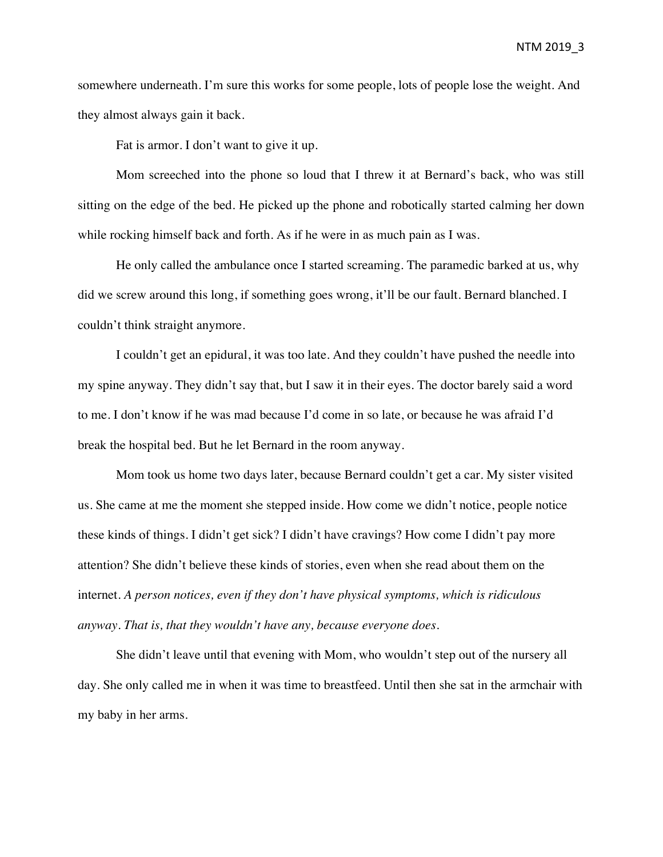somewhere underneath. I'm sure this works for some people, lots of people lose the weight. And they almost always gain it back.

Fat is armor. I don't want to give it up.

Mom screeched into the phone so loud that I threw it at Bernard's back, who was still sitting on the edge of the bed. He picked up the phone and robotically started calming her down while rocking himself back and forth. As if he were in as much pain as I was.

He only called the ambulance once I started screaming. The paramedic barked at us, why did we screw around this long, if something goes wrong, it'll be our fault. Bernard blanched. I couldn't think straight anymore.

I couldn't get an epidural, it was too late. And they couldn't have pushed the needle into my spine anyway. They didn't say that, but I saw it in their eyes. The doctor barely said a word to me. I don't know if he was mad because I'd come in so late, or because he was afraid I'd break the hospital bed. But he let Bernard in the room anyway.

Mom took us home two days later, because Bernard couldn't get a car. My sister visited us. She came at me the moment she stepped inside. How come we didn't notice, people notice these kinds of things. I didn't get sick? I didn't have cravings? How come I didn't pay more attention? She didn't believe these kinds of stories, even when she read about them on the internet. *A person notices, even if they don't have physical symptoms, which is ridiculous anyway. That is, that they wouldn't have any, because everyone does.*

She didn't leave until that evening with Mom, who wouldn't step out of the nursery all day. She only called me in when it was time to breastfeed. Until then she sat in the armchair with my baby in her arms.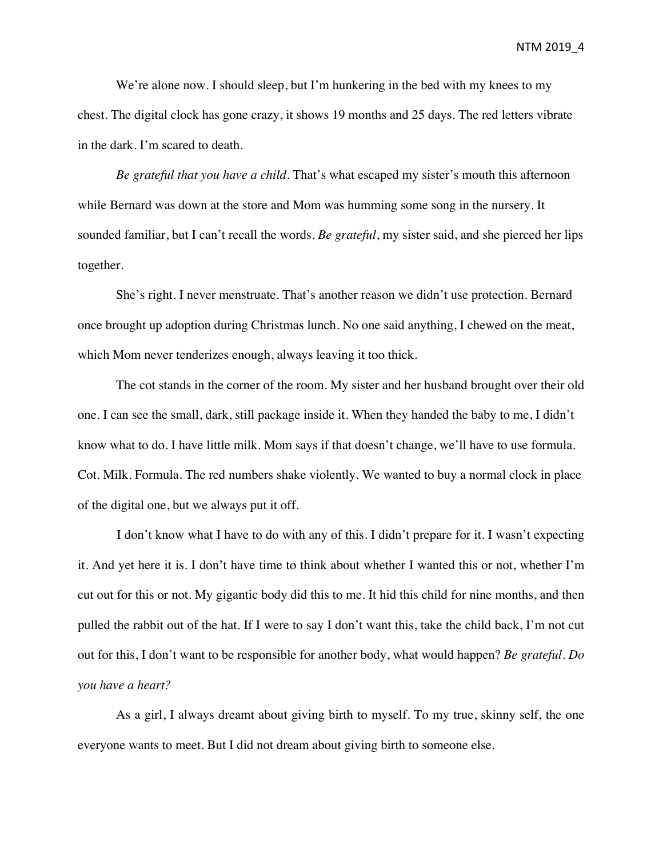We're alone now. I should sleep, but I'm hunkering in the bed with my knees to my chest. The digital clock has gone crazy, it shows 19 months and 25 days. The red letters vibrate in the dark. I'm scared to death.

*Be grateful that you have a child.* That's what escaped my sister's mouth this afternoon while Bernard was down at the store and Mom was humming some song in the nursery. It sounded familiar, but I can't recall the words. *Be grateful*, my sister said, and she pierced her lips together.

She's right. I never menstruate. That's another reason we didn't use protection. Bernard once brought up adoption during Christmas lunch. No one said anything, I chewed on the meat, which Mom never tenderizes enough, always leaving it too thick.

The cot stands in the corner of the room. My sister and her husband brought over their old one. I can see the small, dark, still package inside it. When they handed the baby to me, I didn't know what to do. I have little milk. Mom says if that doesn't change, we'll have to use formula. Cot. Milk. Formula. The red numbers shake violently. We wanted to buy a normal clock in place of the digital one, but we always put it off.

I don't know what I have to do with any of this. I didn't prepare for it. I wasn't expecting it. And yet here it is. I don't have time to think about whether I wanted this or not, whether I'm cut out for this or not. My gigantic body did this to me. It hid this child for nine months, and then pulled the rabbit out of the hat. If I were to say I don't want this, take the child back, I'm not cut out for this, I don't want to be responsible for another body, what would happen? *Be grateful. Do you have a heart?* 

As a girl, I always dreamt about giving birth to myself. To my true, skinny self, the one everyone wants to meet. But I did not dream about giving birth to someone else.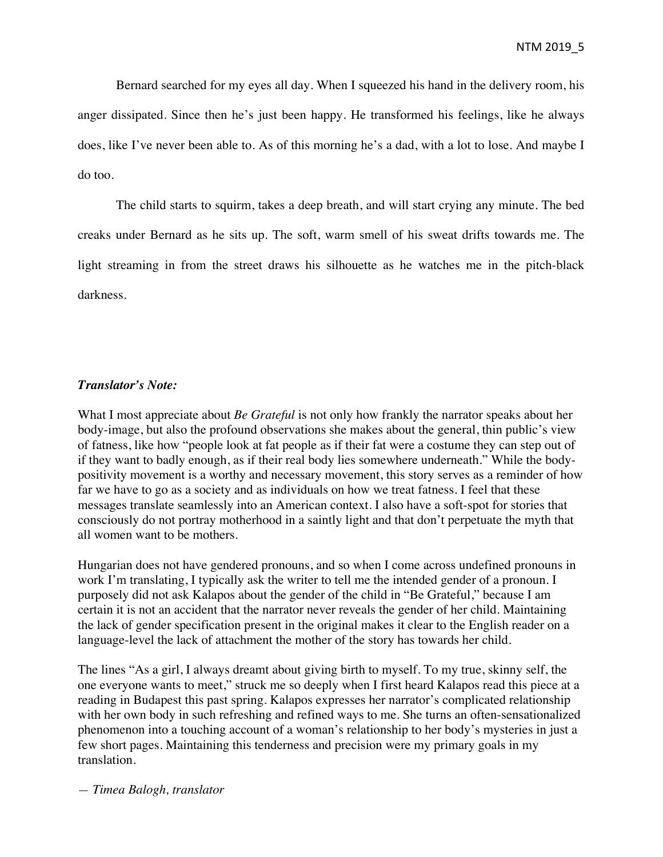Bernard searched for my eyes all day. When I squeezed his hand in the delivery room, his anger dissipated. Since then he's just been happy. He transformed his feelings, like he always does, like I've never been able to. As of this morning he's a dad, with a lot to lose. And maybe I do too.

The child starts to squirm, takes a deep breath, and will start crying any minute. The bed creaks under Bernard as he sits up. The soft, warm smell of his sweat drifts towards me. The light streaming in from the street draws his silhouette as he watches me in the pitch-black darkness.

#### *Translator's Note:*

What I most appreciate about *Be Grateful* is not only how frankly the narrator speaks about her body-image, but also the profound observations she makes about the general, thin public's view of fatness, like how "people look at fat people as if their fat were a costume they can step out of if they want to badly enough, as if their real body lies somewhere underneath." While the bodypositivity movement is a worthy and necessary movement, this story serves as a reminder of how far we have to go as a society and as individuals on how we treat fatness. I feel that these messages translate seamlessly into an American context. I also have a soft-spot for stories that consciously do not portray motherhood in a saintly light and that don't perpetuate the myth that all women want to be mothers.

Hungarian does not have gendered pronouns, and so when I come across undefined pronouns in work I'm translating, I typically ask the writer to tell me the intended gender of a pronoun. I purposely did not ask Kalapos about the gender of the child in "Be Grateful," because I am certain it is not an accident that the narrator never reveals the gender of her child. Maintaining the lack of gender specification present in the original makes it clear to the English reader on a language-level the lack of attachment the mother of the story has towards her child.

The lines "As a girl, I always dreamt about giving birth to myself. To my true, skinny self, the one everyone wants to meet," struck me so deeply when I first heard Kalapos read this piece at a reading in Budapest this past spring. Kalapos expresses her narrator's complicated relationship with her own body in such refreshing and refined ways to me. She turns an often-sensationalized phenomenon into a touching account of a woman's relationship to her body's mysteries in just a few short pages. Maintaining this tenderness and precision were my primary goals in my translation.

*— Timea Balogh, translator*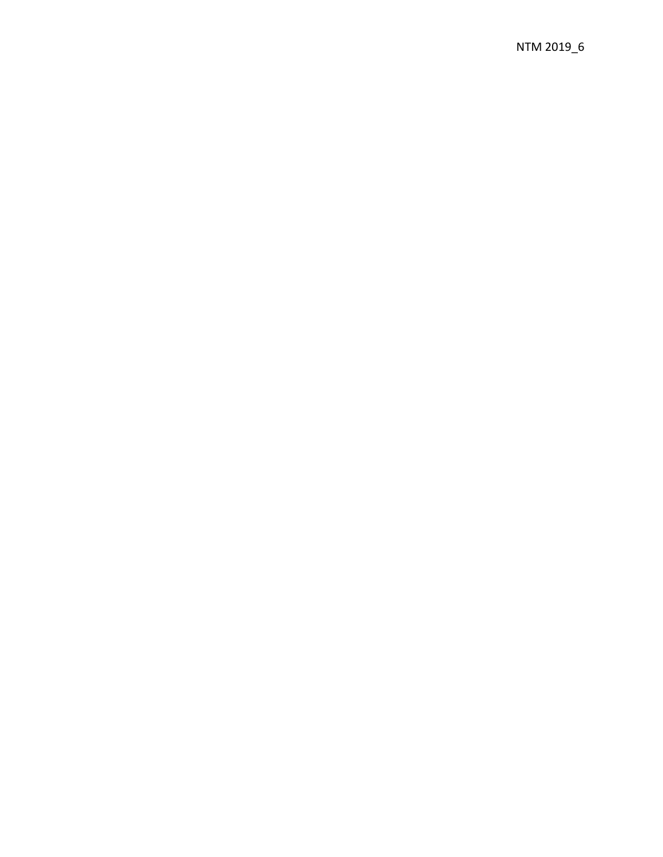### NTM 2019\_6